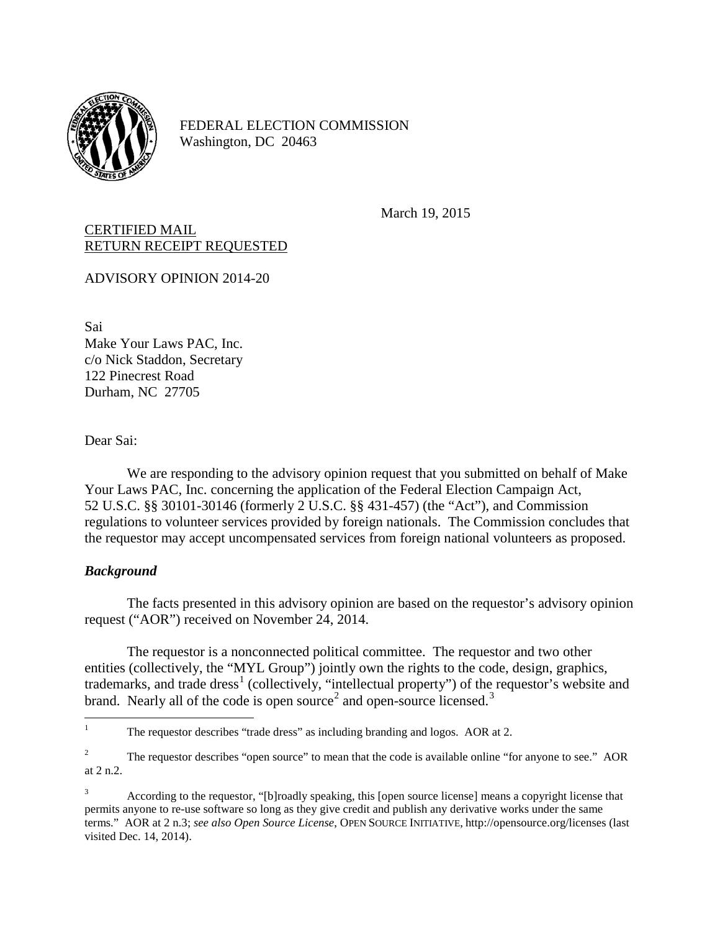

FEDERAL ELECTION COMMISSION Washington, DC 20463

March 19, 2015

## CERTIFIED MAIL RETURN RECEIPT REQUESTED

ADVISORY OPINION 2014-20

Sai Make Your Laws PAC, Inc. c/o Nick Staddon, Secretary 122 Pinecrest Road Durham, NC 27705

Dear Sai:

We are responding to the advisory opinion request that you submitted on behalf of Make Your Laws PAC, Inc. concerning the application of the Federal Election Campaign Act, 52 U.S.C. §§ 30101-30146 (formerly 2 U.S.C. §§ 431-457) (the "Act"), and Commission regulations to volunteer services provided by foreign nationals. The Commission concludes that the requestor may accept uncompensated services from foreign national volunteers as proposed.

## *Background*

The facts presented in this advisory opinion are based on the requestor's advisory opinion request ("AOR") received on November 24, 2014.

The requestor is a nonconnected political committee. The requestor and two other entities (collectively, the "MYL Group") jointly own the rights to the code, design, graphics, trademarks, and trade dress<sup>[1](#page-0-0)</sup> (collectively, "intellectual property") of the requestor's website and brand. Nearly all of the code is open source<sup>[2](#page-0-1)</sup> and open-source licensed.<sup>[3](#page-0-2)</sup>

<span id="page-0-0"></span><sup>&</sup>lt;sup>1</sup> The requestor describes "trade dress" as including branding and logos. AOR at 2.

<span id="page-0-1"></span><sup>&</sup>lt;sup>2</sup> The requestor describes "open source" to mean that the code is available online "for anyone to see." AOR at 2 n.2.

<span id="page-0-2"></span><sup>3</sup> According to the requestor, "[b]roadly speaking, this [open source license] means a copyright license that permits anyone to re-use software so long as they give credit and publish any derivative works under the same terms." AOR at 2 n.3; *see also Open Source License*, OPEN SOURCE INITIATIVE, http://opensource.org/licenses (last visited Dec. 14, 2014).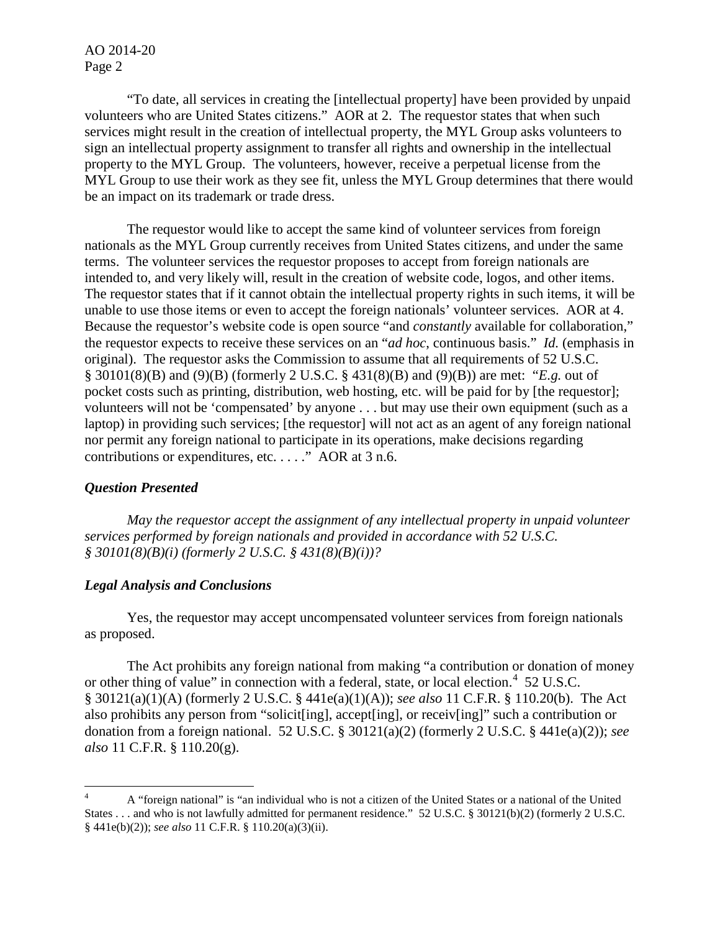"To date, all services in creating the [intellectual property] have been provided by unpaid volunteers who are United States citizens." AOR at 2. The requestor states that when such services might result in the creation of intellectual property, the MYL Group asks volunteers to sign an intellectual property assignment to transfer all rights and ownership in the intellectual property to the MYL Group. The volunteers, however, receive a perpetual license from the MYL Group to use their work as they see fit, unless the MYL Group determines that there would be an impact on its trademark or trade dress.

The requestor would like to accept the same kind of volunteer services from foreign nationals as the MYL Group currently receives from United States citizens, and under the same terms. The volunteer services the requestor proposes to accept from foreign nationals are intended to, and very likely will, result in the creation of website code, logos, and other items. The requestor states that if it cannot obtain the intellectual property rights in such items, it will be unable to use those items or even to accept the foreign nationals' volunteer services. AOR at 4. Because the requestor's website code is open source "and *constantly* available for collaboration," the requestor expects to receive these services on an "*ad hoc*, continuous basis." *Id.* (emphasis in original). The requestor asks the Commission to assume that all requirements of 52 U.S.C. § 30101(8)(B) and (9)(B) (formerly 2 U.S.C. § 431(8)(B) and (9)(B)) are met: "*E.g.* out of pocket costs such as printing, distribution, web hosting, etc. will be paid for by [the requestor]; volunteers will not be 'compensated' by anyone . . . but may use their own equipment (such as a laptop) in providing such services; [the requestor] will not act as an agent of any foreign national nor permit any foreign national to participate in its operations, make decisions regarding contributions or expenditures, etc. . . . ." AOR at 3 n.6.

## *Question Presented*

*May the requestor accept the assignment of any intellectual property in unpaid volunteer services performed by foreign nationals and provided in accordance with 52 U.S.C. § 30101(8)(B)(i) (formerly 2 U.S.C. § 431(8)(B)(i))?* 

## *Legal Analysis and Conclusions*

Yes, the requestor may accept uncompensated volunteer services from foreign nationals as proposed.

The Act prohibits any foreign national from making "a contribution or donation of money or other thing of value" in connection with a federal, state, or local election. $4\,$  $4\,$  52 U.S.C. § 30121(a)(1)(A) (formerly 2 U.S.C. § 441e(a)(1)(A)); *see also* 11 C.F.R. § 110.20(b). The Act also prohibits any person from "solicit[ing], accept[ing], or receiv[ing]" such a contribution or donation from a foreign national. 52 U.S.C. § 30121(a)(2) (formerly 2 U.S.C. § 441e(a)(2)); *see also* 11 C.F.R. § 110.20(g).

<span id="page-1-0"></span> <sup>4</sup> A "foreign national" is "an individual who is not a citizen of the United States or a national of the United States . . . and who is not lawfully admitted for permanent residence." 52 U.S.C. § 30121(b)(2) (formerly 2 U.S.C. § 441e(b)(2)); *see also* 11 C.F.R. § 110.20(a)(3)(ii).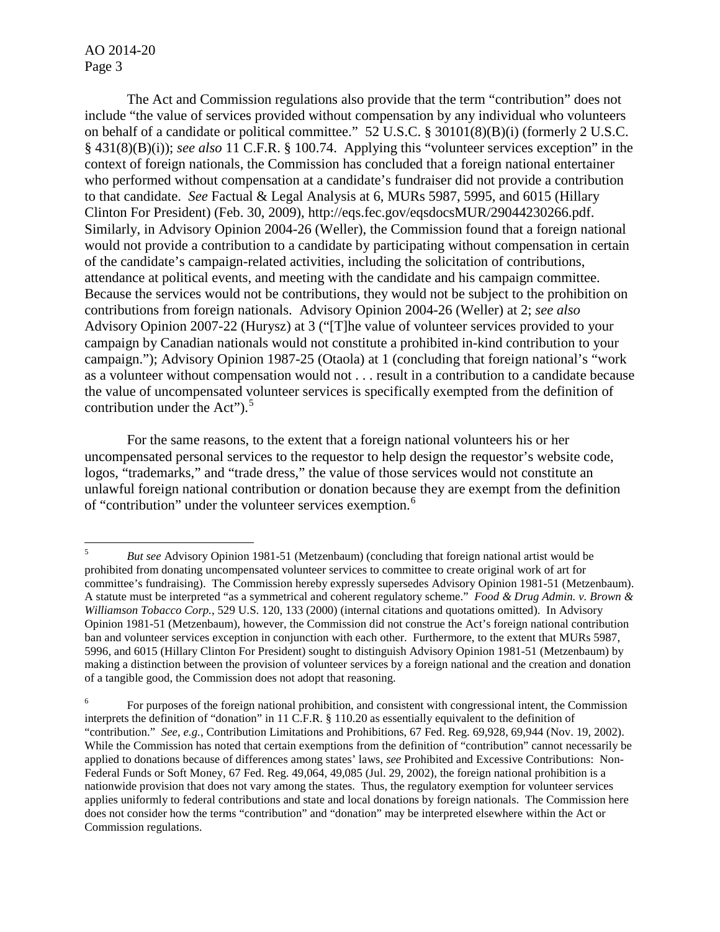AO 2014-20 Page 3

The Act and Commission regulations also provide that the term "contribution" does not include "the value of services provided without compensation by any individual who volunteers on behalf of a candidate or political committee." 52 U.S.C. § 30101(8)(B)(i) (formerly 2 U.S.C. § 431(8)(B)(i)); *see also* 11 C.F.R. § 100.74. Applying this "volunteer services exception" in the context of foreign nationals, the Commission has concluded that a foreign national entertainer who performed without compensation at a candidate's fundraiser did not provide a contribution to that candidate. *See* Factual & Legal Analysis at 6, MURs 5987, 5995, and 6015 (Hillary Clinton For President) (Feb. 30, 2009), http://eqs.fec.gov/eqsdocsMUR/29044230266.pdf. Similarly, in Advisory Opinion 2004-26 (Weller), the Commission found that a foreign national would not provide a contribution to a candidate by participating without compensation in certain of the candidate's campaign-related activities, including the solicitation of contributions, attendance at political events, and meeting with the candidate and his campaign committee. Because the services would not be contributions, they would not be subject to the prohibition on contributions from foreign nationals. Advisory Opinion 2004-26 (Weller) at 2; *see also* Advisory Opinion 2007-22 (Hurysz) at 3 ("[T]he value of volunteer services provided to your campaign by Canadian nationals would not constitute a prohibited in-kind contribution to your campaign."); Advisory Opinion 1987-25 (Otaola) at 1 (concluding that foreign national's "work as a volunteer without compensation would not . . . result in a contribution to a candidate because the value of uncompensated volunteer services is specifically exempted from the definition of contribution under the Act"). $5$ 

For the same reasons, to the extent that a foreign national volunteers his or her uncompensated personal services to the requestor to help design the requestor's website code, logos, "trademarks," and "trade dress," the value of those services would not constitute an unlawful foreign national contribution or donation because they are exempt from the definition of "contribution" under the volunteer services exemption.<sup>[6](#page-2-1)</sup>

<span id="page-2-0"></span> <sup>5</sup> *But see* Advisory Opinion 1981-51 (Metzenbaum) (concluding that foreign national artist would be prohibited from donating uncompensated volunteer services to committee to create original work of art for committee's fundraising). The Commission hereby expressly supersedes Advisory Opinion 1981-51 (Metzenbaum). A statute must be interpreted "as a symmetrical and coherent regulatory scheme." *Food & Drug Admin. v. Brown & Williamson Tobacco Corp.*, 529 U.S. 120, 133 (2000) (internal citations and quotations omitted). In Advisory Opinion 1981-51 (Metzenbaum), however, the Commission did not construe the Act's foreign national contribution ban and volunteer services exception in conjunction with each other. Furthermore, to the extent that MURs 5987, 5996, and 6015 (Hillary Clinton For President) sought to distinguish Advisory Opinion 1981-51 (Metzenbaum) by making a distinction between the provision of volunteer services by a foreign national and the creation and donation of a tangible good, the Commission does not adopt that reasoning.

<span id="page-2-1"></span><sup>&</sup>lt;sup>6</sup> For purposes of the foreign national prohibition, and consistent with congressional intent, the Commission interprets the definition of "donation" in 11 C.F.R. § 110.20 as essentially equivalent to the definition of "contribution." *See, e.g.*, Contribution Limitations and Prohibitions, 67 Fed. Reg. 69,928, 69,944 (Nov. 19, 2002). While the Commission has noted that certain exemptions from the definition of "contribution" cannot necessarily be applied to donations because of differences among states' laws, *see* Prohibited and Excessive Contributions: Non-Federal Funds or Soft Money, 67 Fed. Reg. 49,064, 49,085 (Jul. 29, 2002), the foreign national prohibition is a nationwide provision that does not vary among the states. Thus, the regulatory exemption for volunteer services applies uniformly to federal contributions and state and local donations by foreign nationals. The Commission here does not consider how the terms "contribution" and "donation" may be interpreted elsewhere within the Act or Commission regulations.